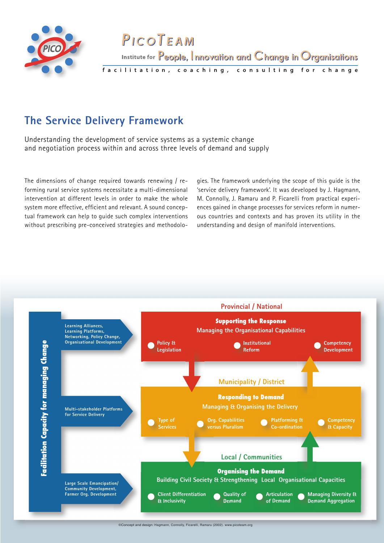

PICOTEAM Institute for People, Innovation and Change in Organisations .<br>facilitation, coaching, consulting for change

# **The Service Delivery Framework**

Understanding the development of service systems as a systemic change and negotiation process within and across three levels of demand and supply

The dimensions of change required towards renewing / reforming rural service systems necessitate a multi-dimensional intervention at different levels in order to make the whole system more effective, efficient and relevant. A sound conceptual framework can help to guide such complex interventions without prescribing pre-conceived strategies and methodologies. The framework underlying the scope of this guide is the 'service delivery framework'. It was developed by J. Hagmann, M. Connolly, J. Ramaru and P. Ficarelli from practical experiences gained in change processes for services reform in numerous countries and contexts and has proven its utility in the understanding and design of manifold interventions.

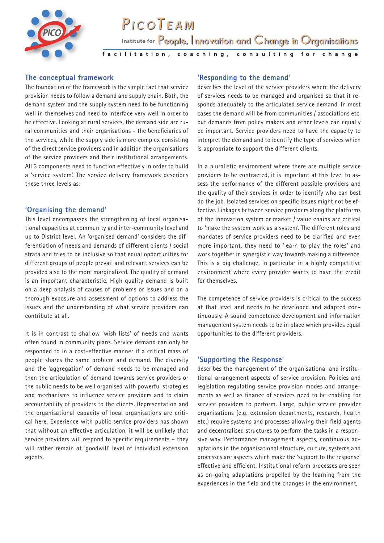

PICOTEAM Institute for People, Innovation and Change in Organisations .<br>facilitation, coaching, consulting for change

# **The conceptual framework**

The foundation of the framework is the simple fact that service provision needs to follow a demand and supply chain. Both, the demand system and the supply system need to be functioning well in themselves and need to interface very well in order to be effective. Looking at rural services, the demand side are rural communities and their organisations - the beneficiaries of the services, while the supply side is more complex consisting of the direct service providers and in addition the organisations of the service providers and their institutional arrangements. All 3 components need to function effectively in order to build a 'service system'. The service delivery framework describes these three levels as:

## **'Organising the demand'**

This level encompasses the strengthening of local organisational capacities at community and inter-community level and up to District level. An 'organised demand' considers the differentiation of needs and demands of different clients / social strata and tries to be inclusive so that equal opportunities for different groups of people prevail and relevant services can be provided also to the more marginalized. The quality of demand is an important characteristic. High quality demand is built on a deep analysis of causes of problems or issues and on a thorough exposure and assessment of options to address the issues and the understanding of what service providers can contribute at all.

It is in contrast to shallow 'wish lists' of needs and wants often found in community plans. Service demand can only be responded to in a cost-effective manner if a critical mass of people shares the same problem and demand. The diversity and the 'aggregation' of demand needs to be managed and then the articulation of demand towards service providers or the public needs to be well organised with powerful strategies and mechanisms to influence service providers and to claim accountability of providers to the clients. Representation and the organisational capacity of local organisations are critical here. Experience with public service providers has shown that without an effective articulation, it will be unlikely that service providers will respond to specific requirements – they will rather remain at 'goodwill' level of individual extension agents.

### **'Responding to the demand'**

describes the level of the service providers where the delivery of services needs to be managed and organised so that it responds adequately to the articulated service demand. In most cases the demand will be from communities / associations etc, but demands from policy makers and other levels can equally be important. Service providers need to have the capacity to interpret the demand and to identify the type of services which is appropriate to support the different clients.

In a pluralistic environment where there are multiple service providers to be contracted, it is important at this level to assess the performance of the different possible providers and the quality of their services in order to identify who can best do the job. Isolated services on specific issues might not be effective. Linkages between service providers along the platforms of the innovation system or market / value chains are critical to 'make the system work as a system'. The different roles and mandates of service providers need to be clarified and even more important, they need to 'learn to play the roles' and work together in synergistic way towards making a difference. This is a big challenge, in particular in a highly competitive environment where every provider wants to have the credit for themselves.

The competence of service providers is critical to the success at that level and needs to be developed and adapted continuously. A sound competence development and information management system needs to be in place which provides equal opportunities to the different providers.

#### **'Supporting the Response'**

describes the management of the organisational and institutional arrangement aspects of service provision. Policies and legislation regulating service provision modes and arrangements as well as finance of services need to be enabling for service providers to perform. Large, public service provider organisations (e.g. extension departments, research, health etc.) require systems and processes allowing their field agents and decentralised structures to perform the tasks in a responsive way. Performance management aspects, continuous adaptations in the organisational structure, culture, systems and processes are aspects which make the 'support to the response' effective and efficient. Institutional reform processes are seen as on-going adaptations propelled by the learning from the experiences in the field and the changes in the environment,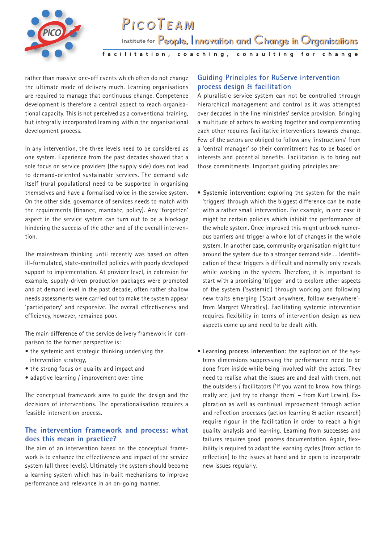

rather than massive one-off events which often do not change the ultimate mode of delivery much. Learning organisations are required to manage that continuous change. Competence development is therefore a central aspect to reach organisational capacity. This is not perceived as a conventional training, but integrally incorporated learning within the organisational development process.

In any intervention, the three levels need to be considered as one system. Experience from the past decades showed that a sole focus on service providers (the supply side) does not lead to demand-oriented sustainable services. The demand side itself (rural populations) need to be supported in organising themselves and have a formalised voice in the service system. On the other side, governance of services needs to match with the requirements (finance, mandate, policy). Any 'forgotten' aspect in the service system can turn out to be a blockage hindering the success of the other and of the overall intervention.

The mainstream thinking until recently was based on often ill-formulated, state-controlled policies with poorly developed support to implementation. At provider level, in extension for example, supply-driven production packages were promoted and at demand level in the past decade, often rather shallow needs assessments were carried out to make the system appear 'participatory' and responsive. The overall effectiveness and efficiency, however, remained poor.

The main difference of the service delivery framework in comparison to the former perspective is:

- the systemic and strategic thinking underlying the intervention strategy,
- the strong focus on quality and impact and
- adaptive learning / improvement over time

The conceptual framework aims to guide the design and the decisions of interventions. The operationalisation requires a feasible intervention process.

# **The intervention framework and process: what does this mean in practice?**

The aim of an intervention based on the conceptual framework is to enhance the effectiveness and impact of the service system (all three levels). Ultimately the system should become a learning system which has in-built mechanisms to improve performance and relevance in an on-going manner.

# **Guiding Principles for RuServe intervention process design & facilitation**

A pluralistic service system can not be controlled through hierarchical management and control as it was attempted over decades in the line ministries' service provision. Bringing a multitude of actors to working together and complementing each other requires facilitative interventions towards change. Few of the actors are obliged to follow any 'instructions' from a 'central manager' so their commitment has to be based on interests and potential benefits. Facilitation is to bring out those commitments. Important guiding principles are:

- **Systemic intervention:** exploring the system for the main 'triggers' through which the biggest difference can be made with a rather small intervention. For example, in one case it might be certain policies which inhibit the performance of the whole system. Once improved this might unblock numerous barriers and trigger a whole lot of changes in the whole system. In another case, community organisation might turn around the system due to a stronger demand side…. Identification of these triggers is difficult and normally only reveals while working in the system. Therefore, it is important to start with a promising 'trigger' and to explore other aspects of the system ('systemic') through working and following new traits emerging ('Start anywhere, follow everywhere' from Margret Wheatley). Facilitating systemic intervention requires flexibility in terms of intervention design as new aspects come up and need to be dealt with.
- **Learning process intervention:** the exploration of the systems dimensions suppressing the performance need to be done from inside while being involved with the actors. They need to realise what the issues are and deal with them, not the outsiders / facilitators ('If you want to know how things really are, just try to change them' – from Kurt Lewin). Exploration as well as continual improvement through action and reflection processes (action learning & action research) require rigour in the facilitation in order to reach a high quality analysis and learning. Learning from successes and failures requires good process documentation. Again, flexibility is required to adapt the learning cycles (from action to reflection) to the issues at hand and be open to incorporate new issues regularly.